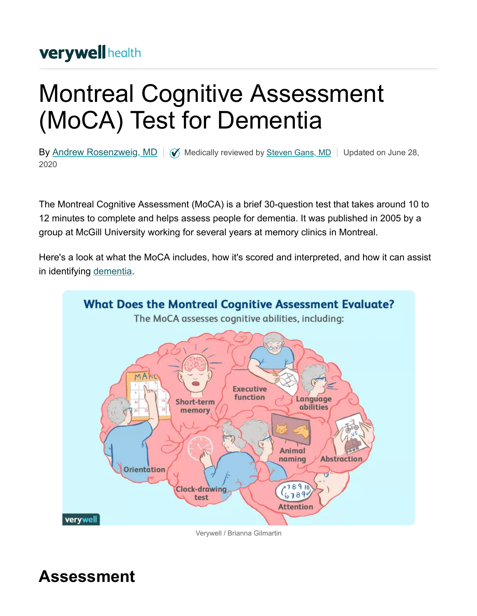### **verywell health**

# Montreal Cognitive Assessment (MoCA) Test for Dementia

By [Andrew Rosenzweig, MD](https://www.verywellhealth.com/andrew-rosenzweig-md-97403)  $\parallel \textcircled{V}$  Medically reviewed by [Steven Gans, MD](https://www.verywellhealth.com/steven-gans-md-4685030)  $\parallel$  Updated on June 28, 2020

The Montreal Cognitive Assessment (MoCA) is a brief 30-question test that takes around 10 to 12 minutes to complete and helps assess people for dementia. It was published in 2005 by a group at McGill University working for several years at memory clinics in Montreal.

Here's a look at what the MoCA includes, how it's scored and interpreted, and how it can assist in identifying [dementia](https://www.verywellhealth.com/what-is-dementia-98745).



Verywell / Brianna Gilmartin

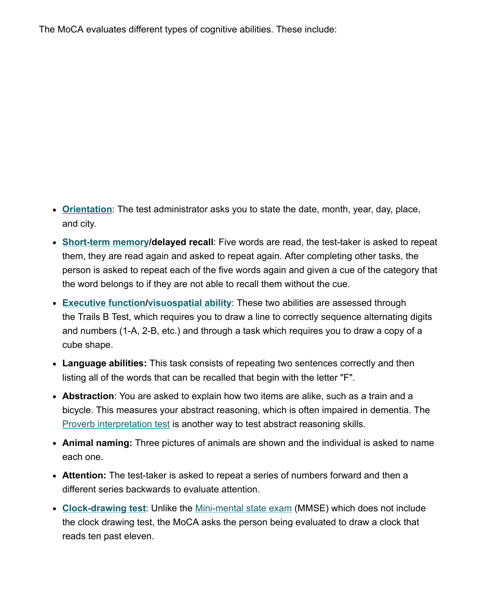The MoCA evaluates different types of cognitive abilities. These include:

- **[Orientation](https://www.verywellhealth.com/what-is-orientation-and-how-is-it-affected-by-dementia-98571)**: The test administrator asks you to state the date, month, year, day, place, and city.
- **[Short-term memory](https://www.verywellhealth.com/short-term-memory-affected-by-alzheimers-98569)/delayed recall**: Five words are read, the test-taker is asked to repeat them, they are read again and asked to repeat again. After completing other tasks, the person is asked to repeat each of the five words again and given a cue of the category that the word belongs to if they are not able to recall them without the cue.
- **[Executive function](https://www.verywellhealth.com/executive-functioning-alzheimers-98596)[/visuospatial ability](https://www.verywellhealth.com/how-does-dementia-affect-visual-spatial-abilities-98586)**: These two abilities are assessed through the Trails B Test, which requires you to draw a line to correctly sequence alternating digits and numbers (1-A, 2-B, etc.) and through a task which requires you to draw a copy of a cube shape.
- **Language abilities:** This task consists of repeating two sentences correctly and then listing all of the words that can be recalled that begin with the letter "F".
- **Abstraction**: You are asked to explain how two items are alike, such as a train and a bicycle. This measures your abstract reasoning, which is often impaired in dementia. The [Proverb interpretation test](https://www.verywellhealth.com/what-is-the-proverb-interpretation-test-98643) is another way to test abstract reasoning skills.
- **Animal naming:** Three pictures of animals are shown and the individual is asked to name each one.
- **Attention:** The test-taker is asked to repeat a series of numbers forward and then a different series backwards to evaluate attention.
- **[Clock-drawing test](https://www.verywellhealth.com/the-clock-drawing-test-98619)**: Unlike the [Mini-mental state exam](https://www.verywellhealth.com/mini-mental-state-exam-as-an-alzheimers-screening-test-98623) (MMSE) which does not include the clock drawing test, the MoCA asks the person being evaluated to draw a clock that reads ten past eleven.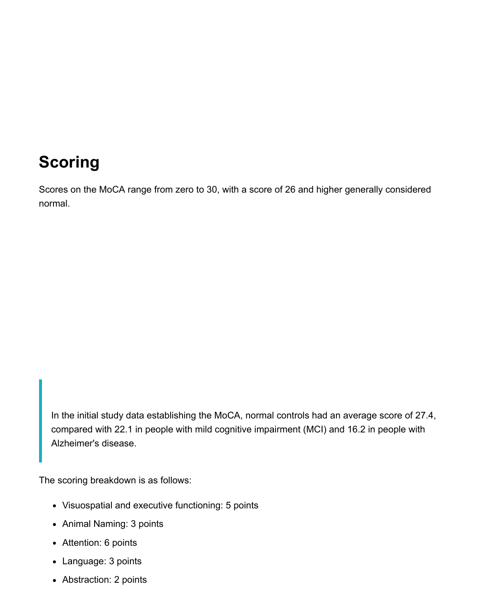# **Scoring**

Scores on the MoCA range from zero to 30, with a score of 26 and higher generally considered normal.

In the initial study data establishing the MoCA, normal controls had an average score of 27.4, compared with 22.1 in people with mild cognitive impairment (MCI) and 16.2 in people with Alzheimer's disease.

The scoring breakdown is as follows:

- Visuospatial and executive functioning: 5 points
- Animal Naming: 3 points
- Attention: 6 points
- Language: 3 points
- Abstraction: 2 points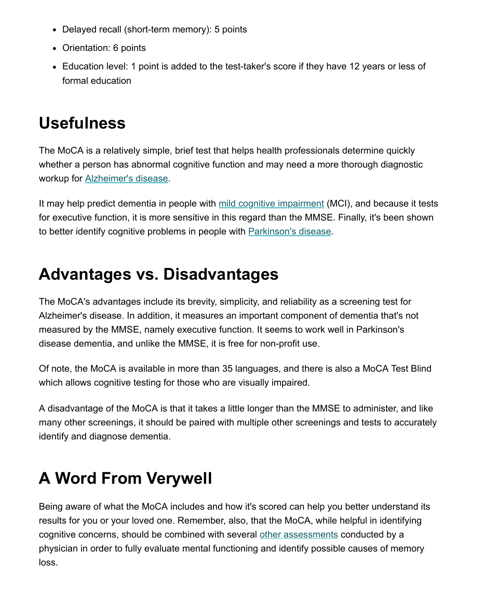- Delayed recall (short-term memory): 5 points
- Orientation: 6 points
- Education level: 1 point is added to the test-taker's score if they have 12 years or less of formal education

## **Usefulness**

The MoCA is a relatively simple, brief test that helps health professionals determine quickly whether a person has abnormal cognitive function and may need a more thorough diagnostic workup for [Alzheimer's disease.](https://www.verywellhealth.com/alzheimers-overview-4014762)

It may help predict dementia in people with [mild cognitive impairment](https://www.verywellhealth.com/mild-cognitive-impairment-and-alzheimers-disease-98561) (MCI), and because it tests for executive function, it is more sensitive in this regard than the MMSE. Finally, it's been shown to better identify cognitive problems in people with [Parkinson's disease](https://www.verywellhealth.com/parkinsons-disease-overview-4014674).

### **Advantages vs. Disadvantages**

The MoCA's advantages include its brevity, simplicity, and reliability as a screening test for Alzheimer's disease. In addition, it measures an important component of dementia that's not measured by the MMSE, namely executive function. It seems to work well in Parkinson's disease dementia, and unlike the MMSE, it is free for non-profit use.

Of note, the MoCA is available in more than 35 languages, and there is also a MoCA Test Blind which allows cognitive testing for those who are visually impaired.

A disadvantage of the MoCA is that it takes a little longer than the MMSE to administer, and like many other screenings, it should be paired with multiple other screenings and tests to accurately identify and diagnose dementia.

# **A Word From Verywell**

Being aware of what the MoCA includes and how it's scored can help you better understand its results for you or your loved one. Remember, also, that the MoCA, while helpful in identifying cognitive concerns, should be combined with several [other assessments](https://www.verywellhealth.com/the-saint-louis-university-mental-status-examination-98618) conducted by a physician in order to fully evaluate mental functioning and identify possible causes of memory loss.